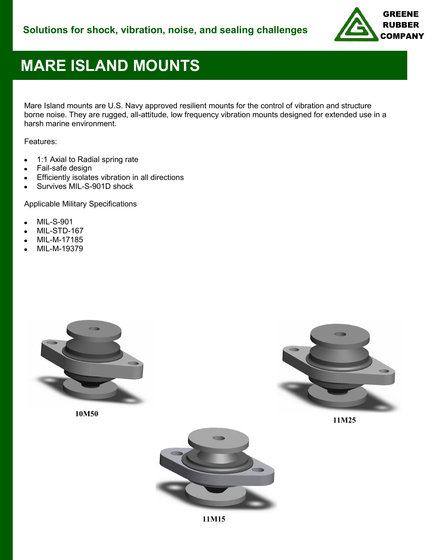

# **MARE ISLAND MOUNTS**

Mare Island mounts are U.S. Navy approved resilient mounts for the control of vibration and structure borne noise. They are rugged, all-attitude, low frequency vibration mounts designed for extended use in a harsh marine environment.

Features:

- 1:1 Axial to Radial spring rate
- Fail-safe design
- Efficiently isolates vibration in all directions
- Survives MIL-S-901D shock

Applicable Military Specifications

- MIL-S-901
- MIL-STD-167
- MIL-M-17185
- MIL-M-19379



**10M50**



**11M25**



**11M15**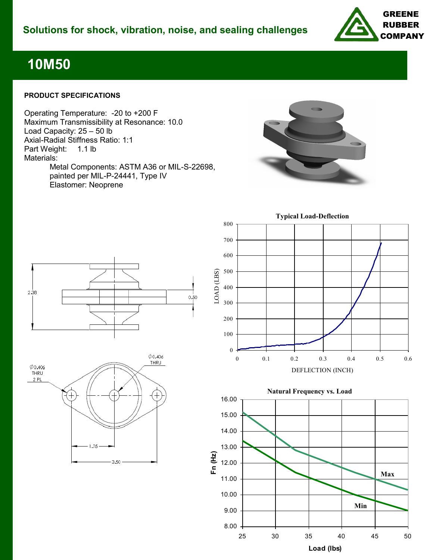

### **10M50**

#### **PRODUCT SPECIFICATIONS**

Operating Temperature: -20 to +200 F Maximum Transmissibility at Resonance: 10.0 Load Capacity: 25 – 50 lb Axial-Radial Stiffness Ratio: 1:1<br>Part Weight: 1.1 lb Part Weight: Materials: Metal Components: ASTM A36 or MIL-S-22698, painted per MIL-P-24441, Type IV Elastomer: Neoprene









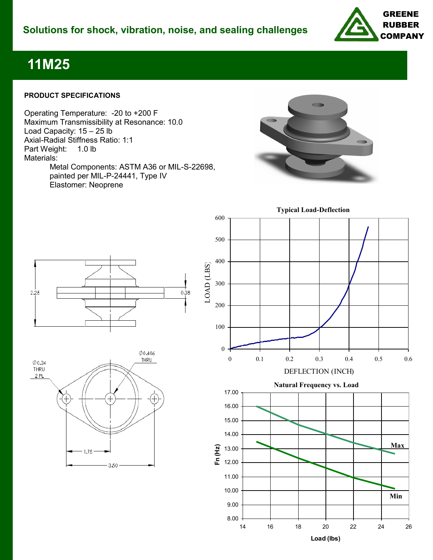

### **11M25**

#### **PRODUCT SPECIFICATIONS**

Operating Temperature: -20 to +200 F Maximum Transmissibility at Resonance: 10.0 Load Capacity: 15 – 25 lb Axial-Radial Stiffness Ratio: 1:1<br>Part Weight: 1.0 lb Part Weight: Materials: Metal Components: ASTM A36 or MIL-S-22698, painted per MIL-P-24441, Type IV Elastomer: Neoprene



 $2.25$  $0.38$